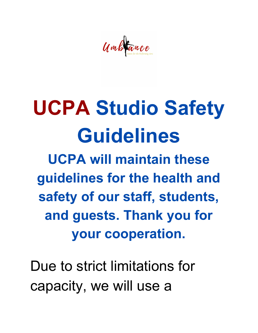Umbrance

## **UCPA Studio Safety Guidelines**

**UCPA will maintain these guidelines for the health and safety of our staff, students, and guests. Thank you for your cooperation.**

Due to strict limitations for capacity, we will use a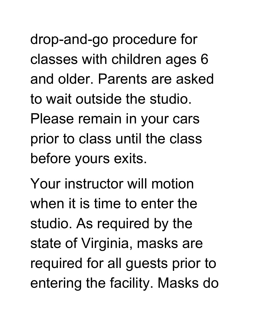drop-and-go procedure for classes with children ages 6 and older. Parents are asked to wait outside the studio. Please remain in your cars prior to class until the class before yours exits.

Your instructor will motion when it is time to enter the studio. As required by the state of Virginia, masks are required for all guests prior to entering the facility. Masks do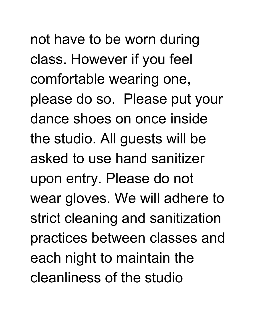not have to be worn during class. However if you feel comfortable wearing one, please do so. Please put your dance shoes on once inside the studio. All guests will be asked to use hand sanitizer upon entry. Please do not wear gloves. We will adhere to strict cleaning and sanitization practices between classes and each night to maintain the cleanliness of the studio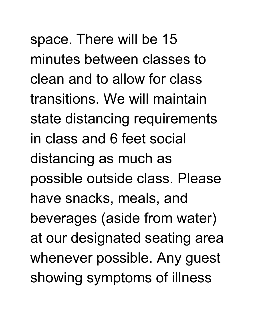space. There will be 15 minutes between classes to clean and to allow for class transitions. We will maintain state distancing requirements in class and 6 feet social distancing as much as possible outside class. Please have snacks, meals, and beverages (aside from water) at our designated seating area whenever possible. Any guest showing symptoms of illness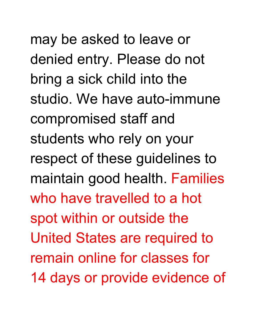may be asked to leave or denied entry. Please do not bring a sick child into the studio. We have auto-immune compromised staff and students who rely on your respect of these guidelines to maintain good health. Families who have travelled to a hot spot within or outside the United States are required to remain online for classes for 14 days or provide evidence of